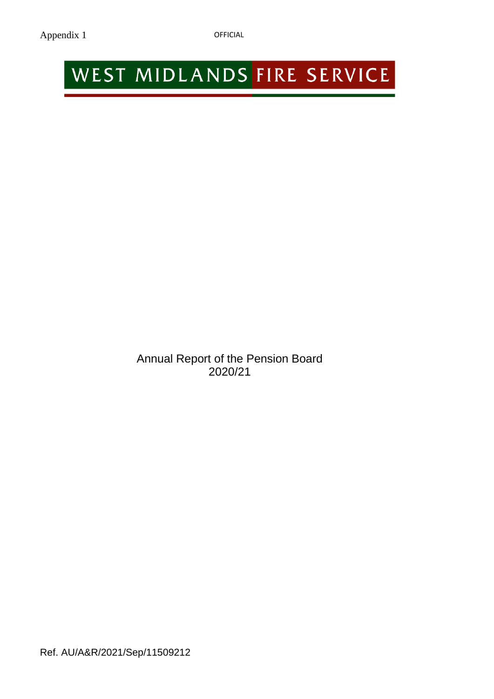# WEST MIDLANDS FIRE SERVICE

Annual Report of the Pension Board 2020/21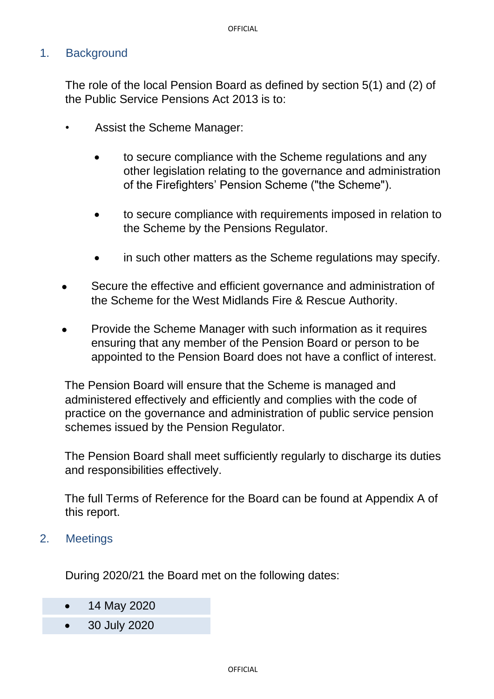# 1. Background

The role of the local Pension Board as defined by section 5(1) and (2) of the Public Service Pensions Act 2013 is to:

- Assist the Scheme Manager:
	- to secure compliance with the Scheme regulations and any other legislation relating to the governance and administration of the Firefighters' Pension Scheme ("the Scheme").
	- to secure compliance with requirements imposed in relation to the Scheme by the Pensions Regulator.
	- in such other matters as the Scheme regulations may specify.
- Secure the effective and efficient governance and administration of the Scheme for the West Midlands Fire & Rescue Authority.
- Provide the Scheme Manager with such information as it requires ensuring that any member of the Pension Board or person to be appointed to the Pension Board does not have a conflict of interest.

The Pension Board will ensure that the Scheme is managed and administered effectively and efficiently and complies with the code of practice on the governance and administration of public service pension schemes issued by the Pension Regulator.

The Pension Board shall meet sufficiently regularly to discharge its duties and responsibilities effectively.

The full Terms of Reference for the Board can be found at Appendix A of this report.

2. Meetings

During 2020/21 the Board met on the following dates:

- 14 May 2020
- 30 July 2020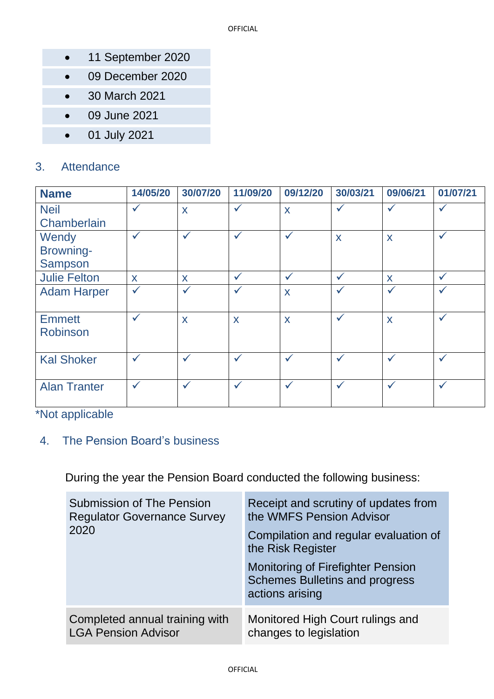- 11 September 2020
- 09 December 2020
- 30 March 2021
- 09 June 2021
- 01 July 2021

# 3. Attendance

| <b>Name</b>         | 14/05/20     | 30/07/20     | 11/09/20     | 09/12/20     | 30/03/21     | 09/06/21     | 01/07/21     |
|---------------------|--------------|--------------|--------------|--------------|--------------|--------------|--------------|
| <b>Neil</b>         | $\checkmark$ | X            | $\checkmark$ | X            | $\checkmark$ | $\checkmark$ | $\checkmark$ |
| Chamberlain         |              |              |              |              |              |              |              |
| Wendy               | $\checkmark$ | $\checkmark$ | $\checkmark$ | $\checkmark$ | X            | X            | $\checkmark$ |
| Browning-           |              |              |              |              |              |              |              |
| <b>Sampson</b>      |              |              |              |              |              |              |              |
| <b>Julie Felton</b> | X            | X            | $\checkmark$ | $\checkmark$ | $\checkmark$ | X            | $\checkmark$ |
| <b>Adam Harper</b>  | $\checkmark$ | $\checkmark$ | $\checkmark$ | X            | $\checkmark$ | $\checkmark$ | $\checkmark$ |
|                     |              |              |              |              |              |              |              |
| <b>Emmett</b>       | $\checkmark$ | X            | X            | X            | $\checkmark$ | X            | $\checkmark$ |
| Robinson            |              |              |              |              |              |              |              |
|                     |              |              |              |              |              |              |              |
| <b>Kal Shoker</b>   | $\checkmark$ | $\checkmark$ | $\checkmark$ | $\checkmark$ | $\checkmark$ | $\checkmark$ | $\checkmark$ |
|                     |              |              |              |              |              |              |              |
| <b>Alan Tranter</b> | $\checkmark$ | $\checkmark$ | $\checkmark$ | $\checkmark$ | $\checkmark$ | $\checkmark$ | $\checkmark$ |
|                     |              |              |              |              |              |              |              |

\*Not applicable

# 4. The Pension Board's business

During the year the Pension Board conducted the following business:

| <b>Submission of The Pension</b><br><b>Regulator Governance Survey</b><br>2020 | Receipt and scrutiny of updates from<br>the WMFS Pension Advisor<br>Compilation and regular evaluation of<br>the Risk Register<br><b>Monitoring of Firefighter Pension</b><br><b>Schemes Bulletins and progress</b><br>actions arising |
|--------------------------------------------------------------------------------|----------------------------------------------------------------------------------------------------------------------------------------------------------------------------------------------------------------------------------------|
| Completed annual training with                                                 | Monitored High Court rulings and                                                                                                                                                                                                       |
| <b>LGA Pension Advisor</b>                                                     | changes to legislation                                                                                                                                                                                                                 |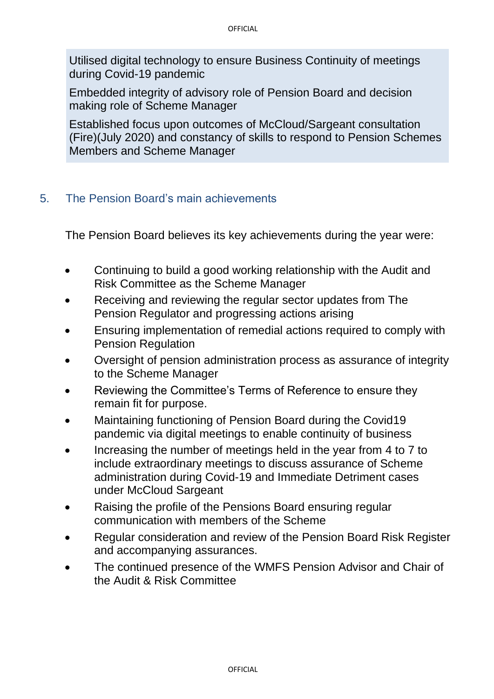Utilised digital technology to ensure Business Continuity of meetings during Covid-19 pandemic

Embedded integrity of advisory role of Pension Board and decision making role of Scheme Manager

Established focus upon outcomes of McCloud/Sargeant consultation (Fire)(July 2020) and constancy of skills to respond to Pension Schemes Members and Scheme Manager

# 5. The Pension Board's main achievements

The Pension Board believes its key achievements during the year were:

- Continuing to build a good working relationship with the Audit and Risk Committee as the Scheme Manager
- Receiving and reviewing the regular sector updates from The Pension Regulator and progressing actions arising
- Ensuring implementation of remedial actions required to comply with Pension Regulation
- Oversight of pension administration process as assurance of integrity to the Scheme Manager
- Reviewing the Committee's Terms of Reference to ensure they remain fit for purpose.
- Maintaining functioning of Pension Board during the Covid19 pandemic via digital meetings to enable continuity of business
- Increasing the number of meetings held in the year from 4 to 7 to include extraordinary meetings to discuss assurance of Scheme administration during Covid-19 and Immediate Detriment cases under McCloud Sargeant
- Raising the profile of the Pensions Board ensuring regular communication with members of the Scheme
- Regular consideration and review of the Pension Board Risk Register and accompanying assurances.
- The continued presence of the WMFS Pension Advisor and Chair of the Audit & Risk Committee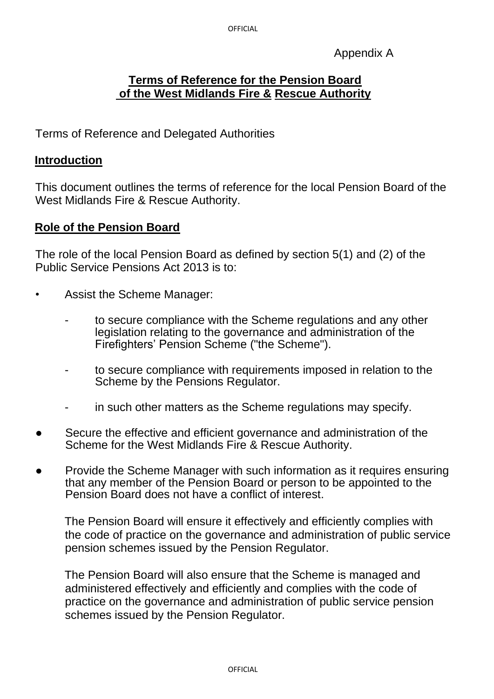Appendix A

# **Terms of Reference for the Pension Board of the West Midlands Fire & Rescue Authority**

Terms of Reference and Delegated Authorities

# **Introduction**

This document outlines the terms of reference for the local Pension Board of the West Midlands Fire & Rescue Authority.

# **Role of the Pension Board**

The role of the local Pension Board as defined by section 5(1) and (2) of the Public Service Pensions Act 2013 is to:

- Assist the Scheme Manager:
	- to secure compliance with the Scheme regulations and any other legislation relating to the governance and administration of the Firefighters' Pension Scheme ("the Scheme").
	- to secure compliance with requirements imposed in relation to the Scheme by the Pensions Regulator.
	- in such other matters as the Scheme regulations may specify.
- Secure the effective and efficient governance and administration of the Scheme for the West Midlands Fire & Rescue Authority.
- Provide the Scheme Manager with such information as it requires ensuring that any member of the Pension Board or person to be appointed to the Pension Board does not have a conflict of interest.

The Pension Board will ensure it effectively and efficiently complies with the code of practice on the governance and administration of public service pension schemes issued by the Pension Regulator.

The Pension Board will also ensure that the Scheme is managed and administered effectively and efficiently and complies with the code of practice on the governance and administration of public service pension schemes issued by the Pension Regulator.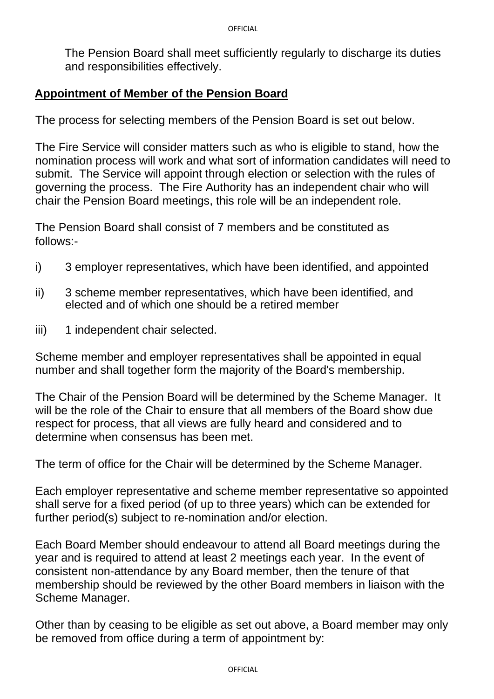The Pension Board shall meet sufficiently regularly to discharge its duties and responsibilities effectively.

## **Appointment of Member of the Pension Board**

The process for selecting members of the Pension Board is set out below.

The Fire Service will consider matters such as who is eligible to stand, how the nomination process will work and what sort of information candidates will need to submit. The Service will appoint through election or selection with the rules of governing the process. The Fire Authority has an independent chair who will chair the Pension Board meetings, this role will be an independent role.

The Pension Board shall consist of 7 members and be constituted as follows:-

- i) 3 employer representatives, which have been identified, and appointed
- ii) 3 scheme member representatives, which have been identified, and elected and of which one should be a retired member
- iii) 1 independent chair selected.

Scheme member and employer representatives shall be appointed in equal number and shall together form the majority of the Board's membership.

The Chair of the Pension Board will be determined by the Scheme Manager. It will be the role of the Chair to ensure that all members of the Board show due respect for process, that all views are fully heard and considered and to determine when consensus has been met.

The term of office for the Chair will be determined by the Scheme Manager.

Each employer representative and scheme member representative so appointed shall serve for a fixed period (of up to three years) which can be extended for further period(s) subject to re-nomination and/or election.

Each Board Member should endeavour to attend all Board meetings during the year and is required to attend at least 2 meetings each year. In the event of consistent non-attendance by any Board member, then the tenure of that membership should be reviewed by the other Board members in liaison with the Scheme Manager.

Other than by ceasing to be eligible as set out above, a Board member may only be removed from office during a term of appointment by: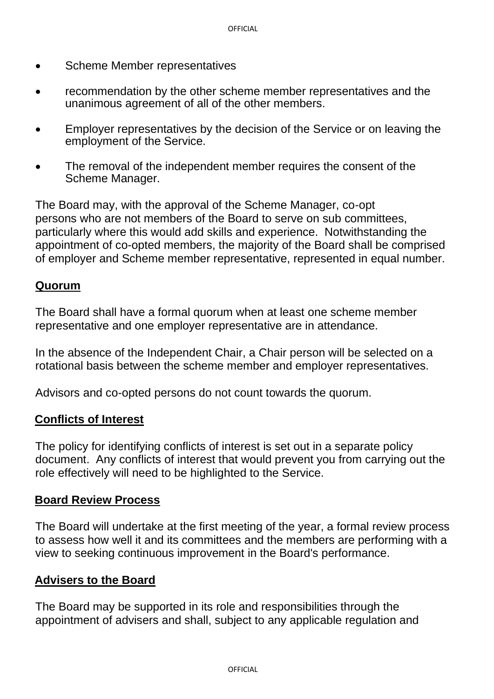- Scheme Member representatives
- recommendation by the other scheme member representatives and the unanimous agreement of all of the other members.
- Employer representatives by the decision of the Service or on leaving the employment of the Service.
- The removal of the independent member requires the consent of the Scheme Manager.

The Board may, with the approval of the Scheme Manager, co-opt persons who are not members of the Board to serve on sub committees, particularly where this would add skills and experience. Notwithstanding the appointment of co-opted members, the majority of the Board shall be comprised of employer and Scheme member representative, represented in equal number.

### **Quorum**

The Board shall have a formal quorum when at least one scheme member representative and one employer representative are in attendance.

In the absence of the Independent Chair, a Chair person will be selected on a rotational basis between the scheme member and employer representatives.

Advisors and co-opted persons do not count towards the quorum.

#### **Conflicts of Interest**

The policy for identifying conflicts of interest is set out in a separate policy document. Any conflicts of interest that would prevent you from carrying out the role effectively will need to be highlighted to the Service.

#### **Board Review Process**

The Board will undertake at the first meeting of the year, a formal review process to assess how well it and its committees and the members are performing with a view to seeking continuous improvement in the Board's performance.

#### **Advisers to the Board**

The Board may be supported in its role and responsibilities through the appointment of advisers and shall, subject to any applicable regulation and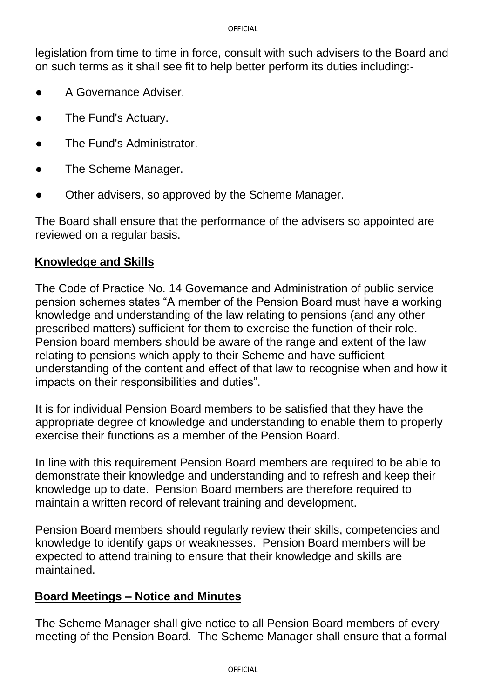legislation from time to time in force, consult with such advisers to the Board and on such terms as it shall see fit to help better perform its duties including:-

- A Governance Adviser.
- The Fund's Actuary.
- The Fund's Administrator.
- The Scheme Manager.
- Other advisers, so approved by the Scheme Manager.

The Board shall ensure that the performance of the advisers so appointed are reviewed on a regular basis.

# **Knowledge and Skills**

The Code of Practice No. 14 Governance and Administration of public service pension schemes states "A member of the Pension Board must have a working knowledge and understanding of the law relating to pensions (and any other prescribed matters) sufficient for them to exercise the function of their role. Pension board members should be aware of the range and extent of the law relating to pensions which apply to their Scheme and have sufficient understanding of the content and effect of that law to recognise when and how it impacts on their responsibilities and duties".

It is for individual Pension Board members to be satisfied that they have the appropriate degree of knowledge and understanding to enable them to properly exercise their functions as a member of the Pension Board.

In line with this requirement Pension Board members are required to be able to demonstrate their knowledge and understanding and to refresh and keep their knowledge up to date. Pension Board members are therefore required to maintain a written record of relevant training and development.

Pension Board members should regularly review their skills, competencies and knowledge to identify gaps or weaknesses. Pension Board members will be expected to attend training to ensure that their knowledge and skills are maintained.

# **Board Meetings – Notice and Minutes**

The Scheme Manager shall give notice to all Pension Board members of every meeting of the Pension Board. The Scheme Manager shall ensure that a formal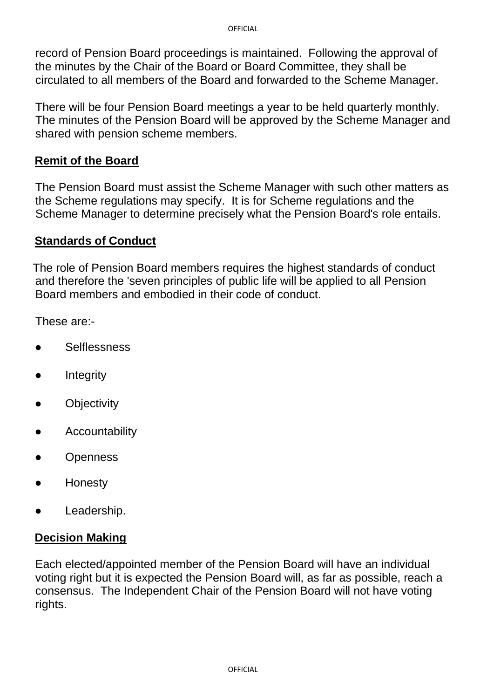record of Pension Board proceedings is maintained. Following the approval of the minutes by the Chair of the Board or Board Committee, they shall be circulated to all members of the Board and forwarded to the Scheme Manager.

There will be four Pension Board meetings a year to be held quarterly monthly. The minutes of the Pension Board will be approved by the Scheme Manager and shared with pension scheme members.

# **Remit of the Board**

The Pension Board must assist the Scheme Manager with such other matters as the Scheme regulations may specify. It is for Scheme regulations and the Scheme Manager to determine precisely what the Pension Board's role entails.

### **Standards of Conduct**

The role of Pension Board members requires the highest standards of conduct and therefore the 'seven principles of public life will be applied to all Pension Board members and embodied in their code of conduct.

These are:-

- **Selflessness**
- **Integrity**
- **Objectivity**
- Accountability
- **Openness**
- Honesty
- Leadership.

## **Decision Making**

Each elected/appointed member of the Pension Board will have an individual voting right but it is expected the Pension Board will, as far as possible, reach a consensus. The Independent Chair of the Pension Board will not have voting rights.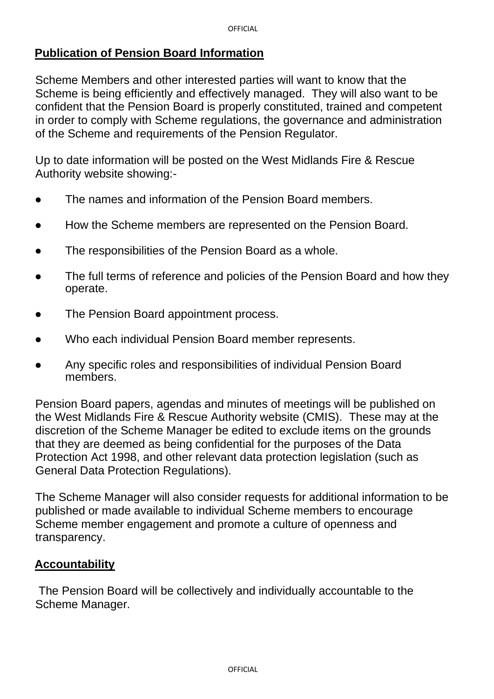# **Publication of Pension Board Information**

Scheme Members and other interested parties will want to know that the Scheme is being efficiently and effectively managed. They will also want to be confident that the Pension Board is properly constituted, trained and competent in order to comply with Scheme regulations, the governance and administration of the Scheme and requirements of the Pension Regulator.

Up to date information will be posted on the West Midlands Fire & Rescue Authority website showing:-

- The names and information of the Pension Board members.
- How the Scheme members are represented on the Pension Board.
- The responsibilities of the Pension Board as a whole.
- The full terms of reference and policies of the Pension Board and how they operate.
- The Pension Board appointment process.
- Who each individual Pension Board member represents.
- Any specific roles and responsibilities of individual Pension Board members.

Pension Board papers, agendas and minutes of meetings will be published on the West Midlands Fire & Rescue Authority website (CMIS). These may at the discretion of the Scheme Manager be edited to exclude items on the grounds that they are deemed as being confidential for the purposes of the Data Protection Act 1998, and other relevant data protection legislation (such as General Data Protection Regulations).

The Scheme Manager will also consider requests for additional information to be published or made available to individual Scheme members to encourage Scheme member engagement and promote a culture of openness and transparency.

## **Accountability**

The Pension Board will be collectively and individually accountable to the Scheme Manager.